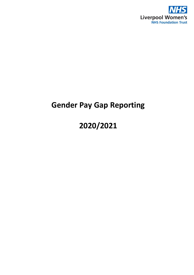

## **Gender Pay Gap Reporting**

# **2020/2021**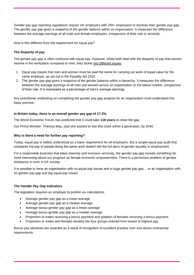[Gender pay gap reporting regulations](https://www.gov.uk/government/news/gender-pay-gap-reporting) require UK employers with 250+ employees to disclose their gender pay gap. The gender pay gap gives a snapshot of the gender balance within an organisation. It measures the difference between the average earnings of all male and female employees, irrespective of their role or seniority.

How is this different from the requirement for equal pay?

### **The disparity of pay**

The gender pay gap is often confused with equal pay. However, whilst both deal with the disparity of pay that women receive in the workplace compared to men, they tackle two different issues:

- 1. Equal pay means that men and women must be paid the same for carrying out work of equal value for the same employer, as set out in the Equality Act 2010.
- 2. The gender pay gap gives a snapshot of the gender balance within a hierarchy. It measures the difference between the average earnings of all men and women across an organisation or the labour market, irrespective of their role. It is expressed as a percentage of men's average earnings.

Any practitioner embarking on completing the gender pay gap analysis for an organisation must understand this basic premise.

### **In Britain today, there is an overall gender pay gap of 17.3%.**

The World Economic Forum has predicted that it could take **118 years** to close the gap.

Our Prime Minister, Theresa May, said she wanted to see this close within a generation, by 2040.

### **Why is there a need for further pay reporting?**

Today, equal pay is widely understood as a basic requirement for all employers. But a simple equal pay audit that compares the pay of people doing the same work doesn't tell the full story of gender equality in employment.

For a responsible business that takes diversity and inclusion seriously, the gender pay gap reveals something far more interesting about our progress on female economic empowerment. There is a pernicious problem of gender imbalance in work in UK society.

It is possible to have an organisation with no equal pay issues and a huge gender pay gap... or an organisation with no gender pay gap and big equal pay issues.

### **The Gender Pay Gap Indicators**

The legislation requires an employer to publish six calculations:

- Average gender pay gap as a mean average
- Average gender pay gap as a median average
- Average bonus gender pay gap as a mean average
- Average bonus gender pay gap as a median average
- Proportion of males receiving a bonus payment and potation of females receiving a bonus payment
- Proportion or males and females divided into four groups ordered from lowest to highest pay

Bonus pay elements are awarded as a result of recognition of excellent practice over and above contractual requirements.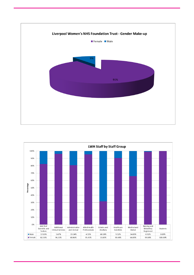

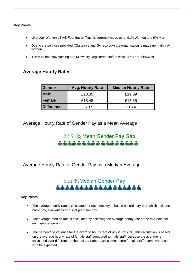**Key Points:**

- Liverpool Women's NHS Foundation Trust is currently made up of 91% Women and 9% Men
- Due to the services provided (Obstetrics and Gynecology) the organisation is made up mainly of women
- The trust has 686 Nursing and Midwifery Registered staff of which 47% are Midwives

### **Average Hourly Rates**

| Gender      | <b>Avg. Hourly Rate</b> | <b>Median Hourly Rate</b> |
|-------------|-------------------------|---------------------------|
| <b>Male</b> | £23.85                  | £19.09                    |
| Female      | £18.48                  | £17.35                    |
| Difference  | £5.37                   | £1.74                     |

Average Hourly Rate of Gender Pay as a Mean Average

# 22.51% Mean Gender Pay Gap

Average Hourly Rate of Gender Pay as a Median Average

# 9.11 % Median Gender Pay

### **Key Points:**

- The average hourly rate is calculated for each employee based on 'ordinary pay' which includes basic pay, allowances and shift premium pay.
- The average median rate is calculated by selecting the average hourly rate at the mid-point for each gender group.
- The percentage variance for the average hourly rate of pay is 22.51%. This calculation is based on the average hourly rate of female staff compared to male staff; because the average is calculated over different numbers of staff (there are 8 times more female staff), some variance is to be expected.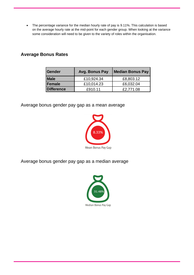• The percentage variance for the median hourly rate of pay is 9.11%. This calculation is based on the average hourly rate at the mid-point for each gender group. When looking at the variance some consideration will need to be given to the variety of roles within the organisation.

## **Average Bonus Rates**

| Gender            | Avg. Bonus Pay | <b>Median Bonus Pay</b> |
|-------------------|----------------|-------------------------|
| <b>Male</b>       | £10,924.34     | £8,803.12               |
| Female            | £10,014.23     | £6,032.04               |
| <b>Difference</b> | £910.11        | £2,771.08               |

Average bonus gender pay gap as a mean average



Average bonus gender pay gap as a median average

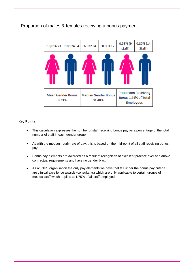### Proportion of males & females receiving a bonus payment



### **Key Points:**

- This calculation expresses the number of staff receiving bonus pay as a percentage of the total number of staff in each gender group.
- As with the median hourly rate of pay, this is based on the mid-point of all staff receiving bonus pay.
- Bonus pay elements are awarded as a result of recognition of excellent practice over and above contractual requirements and have no gender bias.
- As an NHS organisation the only pay elements we have that fall under the bonus pay criteria are clinical excellence awards (consultants) which are only applicable to certain groups of medical staff which applies to 1.75% of all staff employed